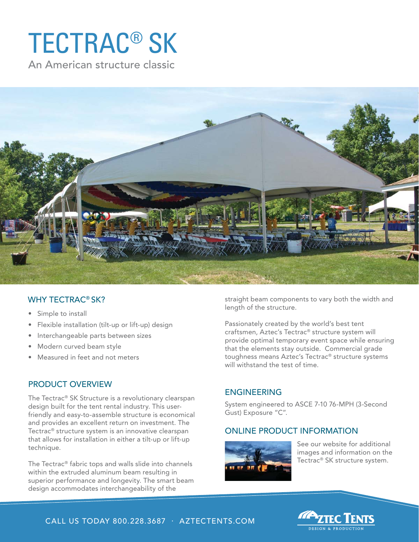# TECTRAC® SK

An American structure classic



### WHY TECTRAC® SK?

- Simple to install
- Flexible installation (tilt-up or lift-up) design
- Interchangeable parts between sizes
- Modern curved beam style
- Measured in feet and not meters

#### PRODUCT OVERVIEW

The Tectrac® SK Structure is a revolutionary clearspan design built for the tent rental industry. This userfriendly and easy-to-assemble structure is economical and provides an excellent return on investment. The Tectrac® structure system is an innovative clearspan that allows for installation in either a tilt-up or lift-up technique.

The Tectrac® fabric tops and walls slide into channels within the extruded aluminum beam resulting in superior performance and longevity. The smart beam design accommodates interchangeability of the

straight beam components to vary both the width and length of the structure.

Passionately created by the world's best tent craftsmen, Aztec's Tectrac® structure system will provide optimal temporary event space while ensuring that the elements stay outside. Commercial grade toughness means Aztec's Tectrac® structure systems will withstand the test of time.

#### ENGINEERING

System engineered to ASCE 7-10 76-MPH (3-Second Gust) Exposure "C".

## ONLINE PRODUCT INFORMATION



See our website for additional images and information on the Tectrac® SK structure system.